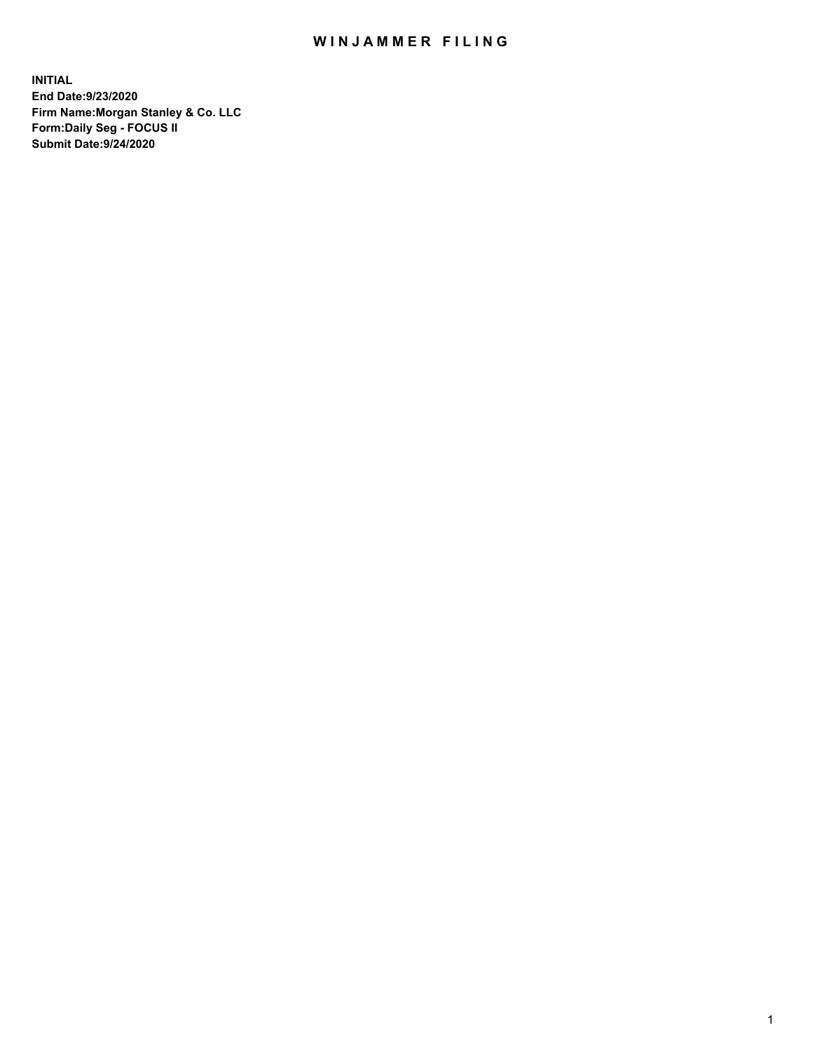## WIN JAMMER FILING

**INITIAL End Date:9/23/2020 Firm Name:Morgan Stanley & Co. LLC Form:Daily Seg - FOCUS II Submit Date:9/24/2020**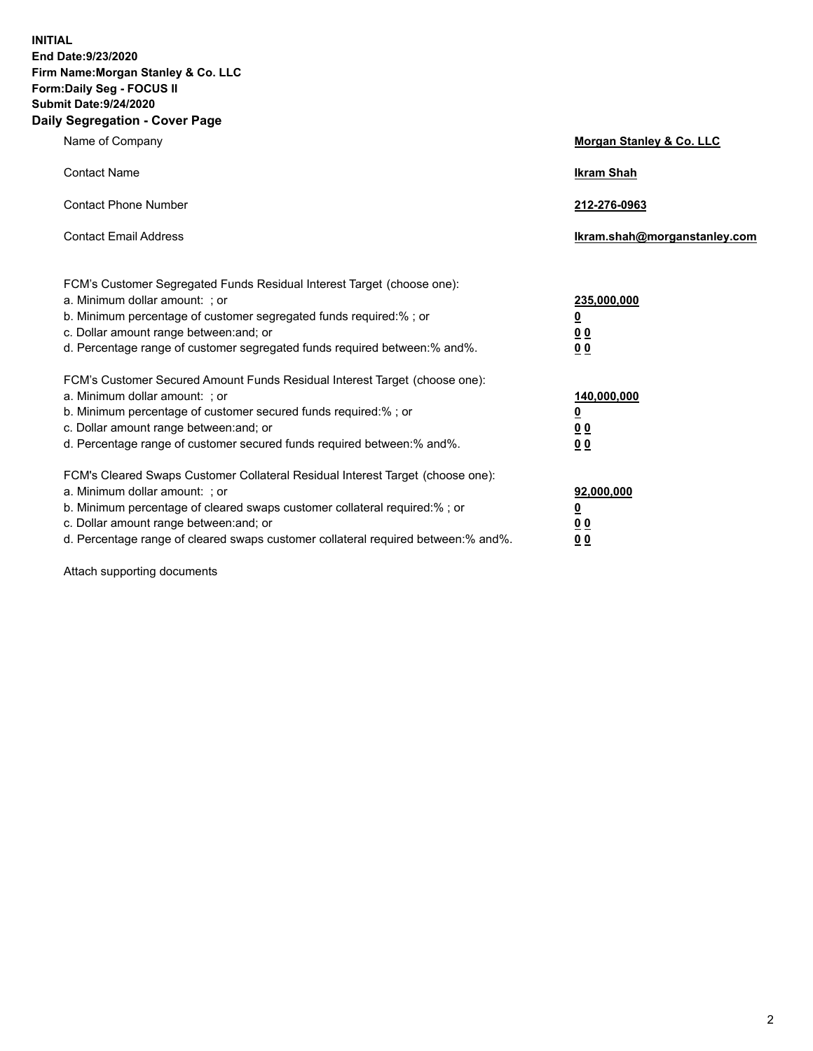**INITIAL End Date:9/23/2020 Firm Name:Morgan Stanley & Co. LLC Form:Daily Seg - FOCUS II Submit Date:9/24/2020 Daily Segregation - Cover Page**

| Name of Company                                                                                                                                                                                                                                                                                                                | Morgan Stanley & Co. LLC                                |
|--------------------------------------------------------------------------------------------------------------------------------------------------------------------------------------------------------------------------------------------------------------------------------------------------------------------------------|---------------------------------------------------------|
| <b>Contact Name</b>                                                                                                                                                                                                                                                                                                            | <b>Ikram Shah</b>                                       |
| <b>Contact Phone Number</b>                                                                                                                                                                                                                                                                                                    | 212-276-0963                                            |
| <b>Contact Email Address</b>                                                                                                                                                                                                                                                                                                   | Ikram.shah@morganstanley.com                            |
| FCM's Customer Segregated Funds Residual Interest Target (choose one):<br>a. Minimum dollar amount: ; or<br>b. Minimum percentage of customer segregated funds required:% ; or<br>c. Dollar amount range between: and; or<br>d. Percentage range of customer segregated funds required between:% and%.                         | 235,000,000<br><u>0</u><br><u>00</u><br><u>00</u>       |
| FCM's Customer Secured Amount Funds Residual Interest Target (choose one):<br>a. Minimum dollar amount: ; or<br>b. Minimum percentage of customer secured funds required:%; or<br>c. Dollar amount range between: and; or<br>d. Percentage range of customer secured funds required between:% and%.                            | 140,000,000<br><u>0</u><br><u>0 0</u><br>0 <sub>0</sub> |
| FCM's Cleared Swaps Customer Collateral Residual Interest Target (choose one):<br>a. Minimum dollar amount: ; or<br>b. Minimum percentage of cleared swaps customer collateral required:% ; or<br>c. Dollar amount range between: and; or<br>d. Percentage range of cleared swaps customer collateral required between:% and%. | 92,000,000<br><u>0</u><br><u>00</u><br>00               |

Attach supporting documents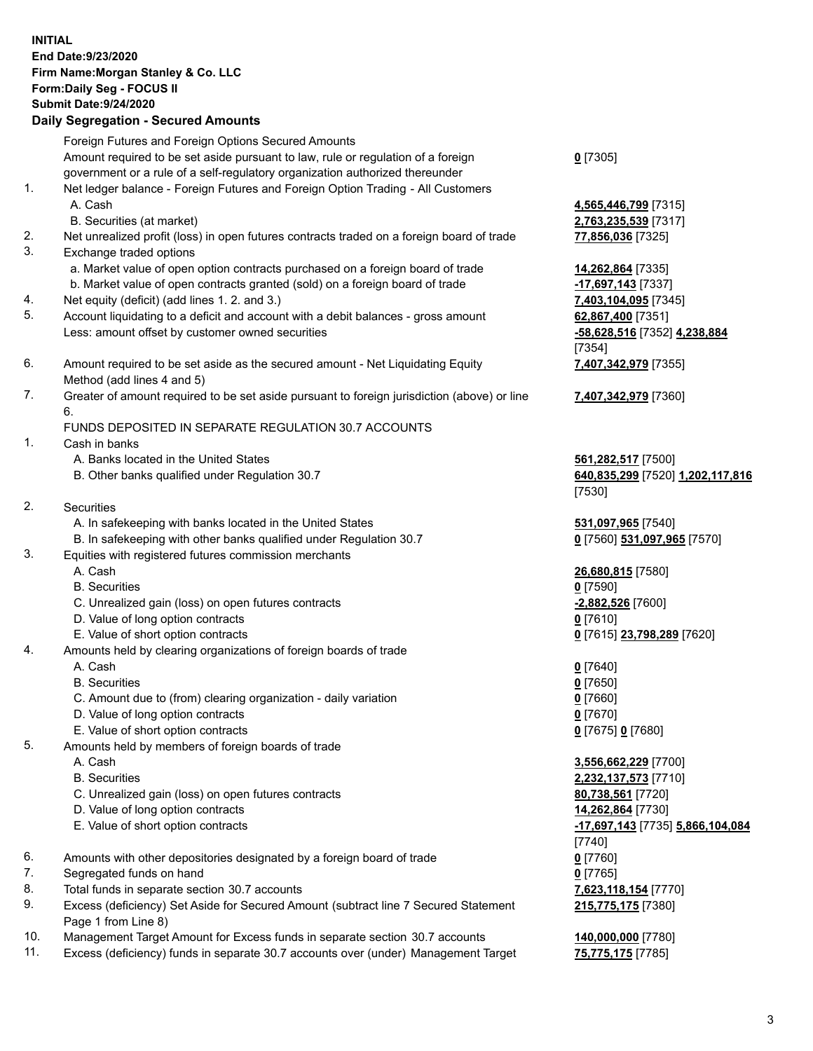## **INITIAL End Date:9/23/2020 Firm Name:Morgan Stanley & Co. LLC Form:Daily Seg - FOCUS II Submit Date:9/24/2020 Daily Segregation - Secured Amounts** Foreign Futures and Foreign Options Secured Amounts Amount required to be set aside pursuant to law, rule or regulation of a foreign government or a rule of a self-regulatory organization authorized thereunder 1. Net ledger balance - Foreign Futures and Foreign Option Trading - All Customers A. Cash **4,565,446,799** [7315] B. Securities (at market) **2,763,235,539** [7317] 2. Net unrealized profit (loss) in open futures contracts traded on a foreign board of trade **77,856,036** [7325] 3. Exchange traded options a. Market value of open option contracts purchased on a foreign board of trade **14,262,864** [7335] b. Market value of open contracts granted (sold) on a foreign board of trade **-17,697,143** [7337] 4. Net equity (deficit) (add lines 1. 2. and 3.) **7,403,104,095** [7345] 5. Account liquidating to a deficit and account with a debit balances - gross amount **62,867,400** [7351] Less: amount offset by customer owned securities **-58,628,516** [7352] **4,238,884** 6. Amount required to be set aside as the secured amount - Net Liquidating Equity Method (add lines 4 and 5) 7. Greater of amount required to be set aside pursuant to foreign jurisdiction (above) or line 6. FUNDS DEPOSITED IN SEPARATE REGULATION 30.7 ACCOUNTS 1. Cash in banks A. Banks located in the United States **561,282,517** [7500] B. Other banks qualified under Regulation 30.7 **640,835,299** [7520] **1,202,117,816** 2. Securities A. In safekeeping with banks located in the United States **531,097,965** [7540] B. In safekeeping with other banks qualified under Regulation 30.7 **0** [7560] **531,097,965** [7570] 3. Equities with registered futures commission merchants A. Cash **26,680,815** [7580] B. Securities **0** [7590] C. Unrealized gain (loss) on open futures contracts **-2,882,526** [7600] D. Value of long option contracts **0** [7610] E. Value of short option contracts **0** [7615] **23,798,289** [7620] 4. Amounts held by clearing organizations of foreign boards of trade A. Cash **0** [7640] B. Securities **0** [7650] C. Amount due to (from) clearing organization - daily variation **0** [7660] D. Value of long option contracts **0** [7670] E. Value of short option contracts **0** [7675] **0** [7680] 5. Amounts held by members of foreign boards of trade A. Cash **3,556,662,229** [7700] B. Securities **2,232,137,573** [7710] C. Unrealized gain (loss) on open futures contracts **80,738,561** [7720] D. Value of long option contracts **14,262,864** [7730]

- E. Value of short option contracts **-17,697,143** [7735] **5,866,104,084**
- 6. Amounts with other depositories designated by a foreign board of trade **0** [7760]
- 7. Segregated funds on hand **0** [7765]
- 8. Total funds in separate section 30.7 accounts **7,623,118,154** [7770]
- 9. Excess (deficiency) Set Aside for Secured Amount (subtract line 7 Secured Statement Page 1 from Line 8)
- 10. Management Target Amount for Excess funds in separate section 30.7 accounts **140,000,000** [7780]
- 11. Excess (deficiency) funds in separate 30.7 accounts over (under) Management Target **75,775,175** [7785]

**0** [7305]

[7354] **7,407,342,979** [7355]

**7,407,342,979** [7360]

[7530]

[7740] **215,775,175** [7380]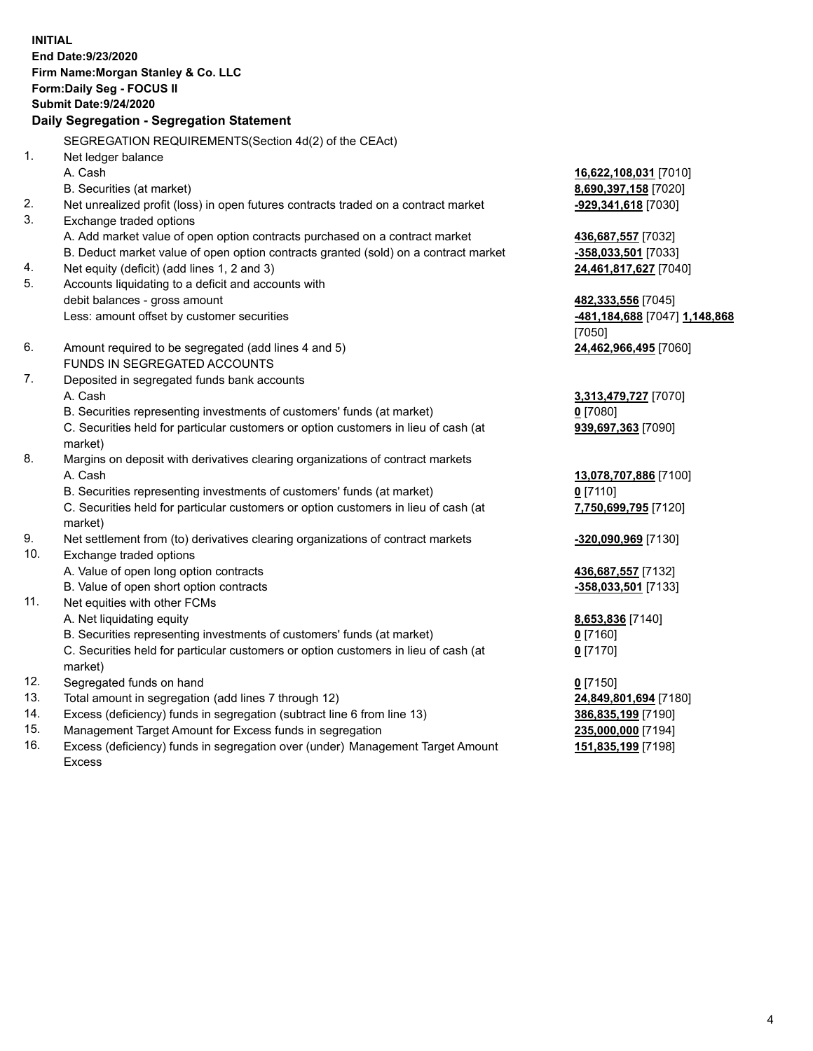**INITIAL End Date:9/23/2020 Firm Name:Morgan Stanley & Co. LLC Form:Daily Seg - FOCUS II Submit Date:9/24/2020 Daily Segregation - Segregation Statement** SEGREGATION REQUIREMENTS(Section 4d(2) of the CEAct) 1. Net ledger balance A. Cash **16,622,108,031** [7010] B. Securities (at market) **8,690,397,158** [7020] 2. Net unrealized profit (loss) in open futures contracts traded on a contract market **-929,341,618** [7030] 3. Exchange traded options A. Add market value of open option contracts purchased on a contract market **436,687,557** [7032] B. Deduct market value of open option contracts granted (sold) on a contract market **-358,033,501** [7033] 4. Net equity (deficit) (add lines 1, 2 and 3) **24,461,817,627** [7040] 5. Accounts liquidating to a deficit and accounts with debit balances - gross amount **482,333,556** [7045] Less: amount offset by customer securities **-481,184,688** [7047] **1,148,868** [7050] 6. Amount required to be segregated (add lines 4 and 5) **24,462,966,495** [7060] FUNDS IN SEGREGATED ACCOUNTS 7. Deposited in segregated funds bank accounts A. Cash **3,313,479,727** [7070] B. Securities representing investments of customers' funds (at market) **0** [7080] C. Securities held for particular customers or option customers in lieu of cash (at market) **939,697,363** [7090] 8. Margins on deposit with derivatives clearing organizations of contract markets A. Cash **13,078,707,886** [7100] B. Securities representing investments of customers' funds (at market) **0** [7110] C. Securities held for particular customers or option customers in lieu of cash (at market) **7,750,699,795** [7120] 9. Net settlement from (to) derivatives clearing organizations of contract markets **-320,090,969** [7130] 10. Exchange traded options A. Value of open long option contracts **436,687,557** [7132] B. Value of open short option contracts **-358,033,501** [7133] 11. Net equities with other FCMs A. Net liquidating equity **8,653,836** [7140] B. Securities representing investments of customers' funds (at market) **0** [7160] C. Securities held for particular customers or option customers in lieu of cash (at market) **0** [7170] 12. Segregated funds on hand **0** [7150] 13. Total amount in segregation (add lines 7 through 12) **24,849,801,694** [7180] 14. Excess (deficiency) funds in segregation (subtract line 6 from line 13) **386,835,199** [7190] 15. Management Target Amount for Excess funds in segregation **235,000,000** [7194]

16. Excess (deficiency) funds in segregation over (under) Management Target Amount Excess

**151,835,199** [7198]